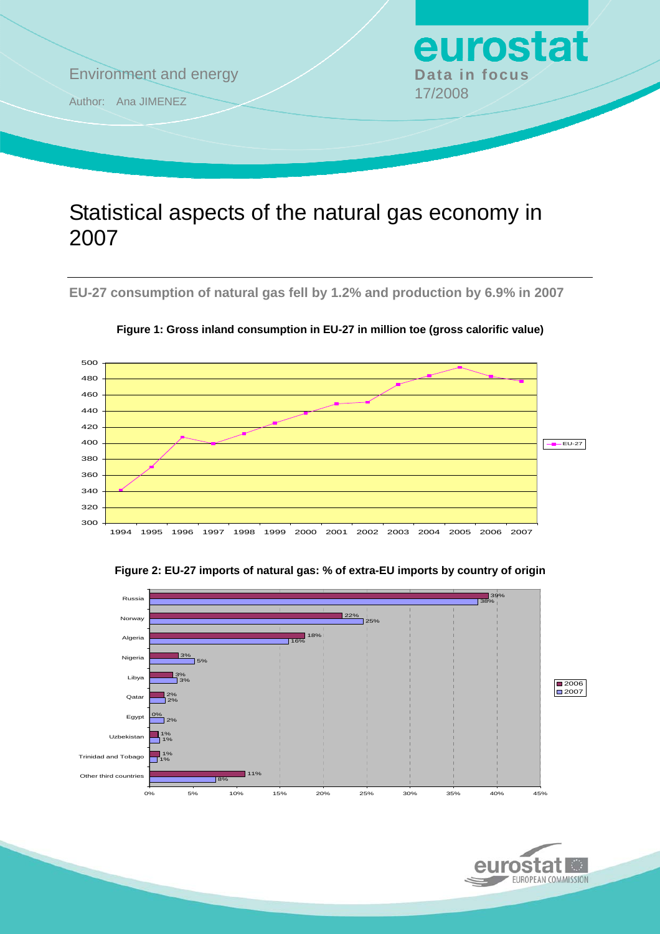

# Statistical aspects of the natural gas economy in 2007

**EU-27 consumption of natural gas fell by 1.2% and production by 6.9% in 2007** 



**Figure 1: Gross inland consumption in EU-27 in million toe (gross calorific value)** 



#### **Figure 2: EU-27 imports of natural gas: % of extra-EU imports by country of origin**

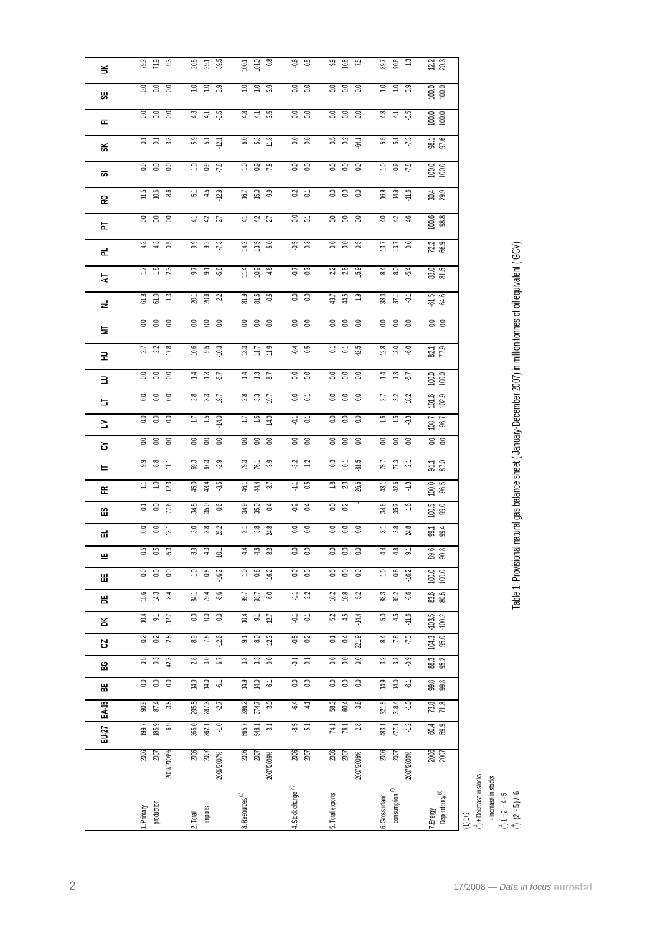|                | production<br>Primary                  | imports<br>2. Total                                    | Resources <sup>(1)</sup><br><b>്</b>                     | 4. Stock change $(2)$                     | 5. Total exports                                   | consumption <sup>(3)</sup><br>6. Gross inland | r.Energy<br>Dependency <sup>(4)</sup>         | $\hat{()}$ + Decrease in stocks<br>- Increase in stocks<br>$(2 - 5) / 6$<br>$\binom{3}{1}$ 1 + 2 + 4 - 5<br>$(1)1+2$ |
|----------------|----------------------------------------|--------------------------------------------------------|----------------------------------------------------------|-------------------------------------------|----------------------------------------------------|-----------------------------------------------|-----------------------------------------------|----------------------------------------------------------------------------------------------------------------------|
|                | $\frac{206}{2007}$<br>2007/2006%       | 2006<br>2007<br>2006/2007%                             | 2006<br>2007<br>2007/2006%                               | 2006<br>2007                              | 2006<br>2007<br>2007/2006%                         | 2006<br>2007<br>2007/2006%                    | 2006<br>2007                                  |                                                                                                                      |
| EU-27          | 185.9<br>$-6.9$<br>199.7               | 366.0<br>$-1.0$<br>362.1                               | 565.7<br>548.1<br>$\tilde{\gamma}$                       | $-8.5$<br>5.1                             | $\frac{74.1}{76.1}$                                | 483.1<br>$-1.2$<br>477.1                      | 60.4<br>59.9                                  |                                                                                                                      |
| $E A - 15$     | $-3.8$<br>90.8<br>87.4                 | 295.5<br>287.3<br>15                                   | $-3.0$<br>386.2<br>374.7                                 | 6.4<br>$\ddot{=}$                         | $58.3$<br>$60.4$<br>3.6                            | 321.5<br>318.4<br>$-1.0$                      | 73.8<br>71.3                                  |                                                                                                                      |
| 벎              | $\mathbf{S}$<br>0.0<br>0.0             | 14.9<br>14.0<br>$\overleftarrow{\varphi}$              | 14.9<br>14.0<br>$\overline{\varphi}$                     | $rac{1}{60}$                              | 0.0<br>$\mathbb{S}^1$<br>$_{\rm 0.0}$              | 14.9<br>14.0<br>$\overline{\varphi}$          | 99.8<br>99.8                                  |                                                                                                                      |
| ဥ္က            | $0.5$<br>$0.3$<br>423                  | $2.8$<br>$3.0$<br>$6.7$                                | 33<br>$\overline{0}$                                     | $\frac{1}{2}$                             | 8 8 8<br>0.0                                       | $\frac{2}{3}$ $\frac{1}{2}$ $\frac{3}{9}$     | 88.3<br>85.2                                  |                                                                                                                      |
| S,             | 3 3 a                                  | $\overline{8.9}$<br>78<br>$-12.6$                      | $80^{\circ}$<br>$-12.3$<br>$\tilde{\circ}$               | $\frac{15}{9}$                            | $\overline{0}4$<br>221.9<br>$\Xi$                  | $\overline{84}$<br>$\overline{78}$<br>73      | (04.3)                                        |                                                                                                                      |
| ă              | 10.4<br>$\overline{\mathsf{S}}$<br>127 | $rac{1}{6}$<br>$\overline{a}$                          | 10.4<br>$\Xi$<br>$-127$                                  | $\overleftarrow{\varphi}$<br>는.           | $\overline{52}$<br>4.5<br>$-14.4$                  | $\overline{5.0}$<br>4.5<br>$-11.6$            | $-103.5$<br>$-100.2$                          |                                                                                                                      |
| 뿜              | 15.6<br>14.3<br>$-8.4$                 | 79.4<br>-56<br>$\overline{3}$                          | $-6.0$<br>99.7<br>93.7                                   | $\frac{1}{2}$ 22                          | 10.2<br>$10.8$<br>5.2                              | 88.3<br>85.2<br>$-3.6$                        | 83.6<br>80.6                                  |                                                                                                                      |
| Ш              | 0.0<br>0.0<br>0.0                      | 0.8<br>1.0<br>$-16.2$                                  | 0.8<br>1.0<br>$-16.2$                                    | $0.0$<br>$0.0$                            | 0.0<br>0.0<br>0.0                                  | 0.8<br>1.0<br>$-16.2$                         | 100.0                                         |                                                                                                                      |
| 亗              | ង ន ដំ                                 | $3.3$ 4.3                                              | $4.8$ $8.3$                                              | $\begin{array}{c} 0.0 \\ 0.0 \end{array}$ | $\begin{array}{cc} 0.0 & 0 \\ 0.0 & 0 \end{array}$ | $4.8$ 5.1                                     | 89.3<br>90.3                                  |                                                                                                                      |
| ᆏ              | 380                                    | $3.0$<br>$3.8$<br>$25.2$                               | $\frac{37}{3}$ $\frac{8}{3}$ $\frac{8}{3}$               | $rac{3}{5}$                               | ខ ខ ខ                                              | $\frac{51}{3.8}$<br>24.8                      | $-18.4$                                       |                                                                                                                      |
| က္             | $\frac{27}{20}$ 5 5 5                  | 34.8<br>35.0<br>0.6                                    | $34.9$<br>$35.0$<br>$\mathfrak{p}$                       | $rac{2}{9}$ $rac{4}{9}$                   | <b>S</b> 2                                         | 34.6<br>35.2<br>$\frac{6}{1}$                 | $\begin{array}{c} 100.5 \\ 99.0 \end{array}$  |                                                                                                                      |
| 또              | 12.3<br>ここ                             | 45.0<br>43.4<br>-3.5                                   | 44.4<br>37                                               | $\frac{11}{10}$                           | $18$ $23$<br>26.6                                  | 43.1<br>42.6<br>$\ddot{.}$                    | $\frac{100.0}{96.5}$                          |                                                                                                                      |
| ᄂ              | $9.8$ $\frac{11}{11}$                  | 69.3<br>67.3<br>-2.9                                   | $\frac{79.3}{76.1}$                                      | $32$ $12$                                 | 35<br>81.5                                         | $75.7$<br>$7.3$<br>$21$                       | 91.1<br>87.0                                  |                                                                                                                      |
| ㅎ              | $0.0$<br>$0.0$                         |                                                        | $0.0$<br>$0.0$                                           | 8 S                                       | $0.0$<br>$0.0$                                     | $0.0$<br>$0.0$                                | $0.0$<br>$0.0$                                |                                                                                                                      |
| ≥              |                                        | $\ddot{5}$<br>$-14.0$<br>ĽΙ                            | $\ddot{5}$<br>$-14.0$<br>Ξ                               | $\frac{1}{9}$ $\frac{1}{9}$               | 0.00000                                            | $\frac{6}{1}$<br>$\frac{15}{10}$<br>-3.3      | 108.7<br>96.7                                 |                                                                                                                      |
| 는              | ខ ខ ខ                                  | 2.3<br>19.7                                            | $2.8$<br>$3.3$<br>$19.7$                                 | $rac{1}{9}$                               | $\rm ^{\circ}$<br>S.<br>$\mathbb{S}$               | 27<br>32<br>18.2                              | 101.6<br>102.9                                |                                                                                                                      |
| $\exists$      | 3.38                                   | $\begin{array}{cc} 7 & 13 \\ 1 & 14 \end{array}$<br>57 | $\overline{z}$ $\overline{z}$<br>57                      | S S                                       | 3.3 <sub>0</sub>                                   | $\frac{4}{14}$ $\frac{3}{12}$ $\frac{5}{12}$  | $\begin{array}{c} 100.0 \\ 00.0 \end{array}$  |                                                                                                                      |
| 로              | $27$ $22$ $17.8$                       | $\frac{10.6}{9.5}$                                     | $\begin{array}{cc} 13 \\ 11 \\ 12 \\ \hline \end{array}$ | $rac{4}{0.5}$                             | <b>S S g</b>                                       | $\frac{12.8}{12.0}$                           | $\frac{82.1}{77.9}$                           | Table 1: Provisional natural gas balance sheet (January-December 2007) in million tonnes of oil equivalent (GCV)     |
| 보              | 3.38                                   | $0.0$<br>$0.0$                                         | $0.0$<br>$0.0$                                           | 8 S                                       | 3.3 <sub>0</sub>                                   | $0.0$<br>$0.0$                                | 3.0                                           |                                                                                                                      |
| 로              | 61.8<br>61.0<br>$\ddot{ }$             | $20.1$<br>$20.6$<br>$2.2$                              | 81.5<br>81.5<br>50-                                      | $rac{3}{5}$                               | $43.7$<br>$43.9$                                   | 38 57 57<br>37 57                             | ب ب<br>रुं रुं                                |                                                                                                                      |
| $\overline{A}$ | 1293                                   | 9.7 5.8                                                | $\begin{array}{c c} 11.4 \\ 10.9 \\ 4.6 \end{array}$     | $-7.3$                                    | $\frac{22}{2.6}$                                   | 804                                           | 88.0<br>81.5                                  |                                                                                                                      |
| ᇎ              | $4.3$<br>$4.3$<br>$0.5$                | $9.9$<br>$9.2$<br>$7.3$                                | $14.2$ 5.0                                               | 0.3                                       |                                                    | $13.7$<br>$13.7$<br>$0.0$                     | $72.2$ 66.9                                   |                                                                                                                      |
| 눈              | ខ ខ ខ                                  | $rac{1}{27}$<br>$\frac{1}{2}$                          | $4.3$ $5.7$                                              | 35                                        | 3300                                               | 4.346                                         | $\begin{array}{c} 100.6 \\ 98.8 \end{array}$  |                                                                                                                      |
| 오              | $1.5$ $6.6$                            | 5.45<br>12.9                                           | $6.7$<br>$5.0$<br>$9.9$                                  | $3\frac{1}{9}$                            | 333                                                | 994.9                                         | $30.4$<br>$29.9$                              |                                                                                                                      |
| ळ              | 3.38                                   | 7.8                                                    | 7.8                                                      | $rac{6}{5}$                               | 3300                                               | $7.8$<br>$7.8$                                | 100.0                                         |                                                                                                                      |
| వ              | <b>S S 33</b>                          | 3 5 p                                                  |                                                          | 0.0                                       | <b>5</b> 20<br>64.1                                | 5.5 7.3                                       | 98.1<br>97.6                                  |                                                                                                                      |
| ᇎ              | 333                                    | $3\frac{11}{4}$<br>-35                                 | $4.3$ $4.5$                                              | $rac{3}{5}$                               | 333                                                | $4.4\%$                                       | $\begin{array}{c} 100.0 \\ 000.0 \end{array}$ |                                                                                                                      |
| ж              |                                        |                                                        |                                                          |                                           |                                                    |                                               | $\frac{0000}{10000}$                          |                                                                                                                      |
| š              | 3.38                                   | $7.9$ $3.9$                                            | 101.0<br>100.1<br>$\frac{1}{2}$<br>$\Xi$<br>3.9          | $rac{1}{6}$                               | 3.3<br>0.0                                         | $7.0$ $3.9$                                   | $22$<br>20.3                                  |                                                                                                                      |

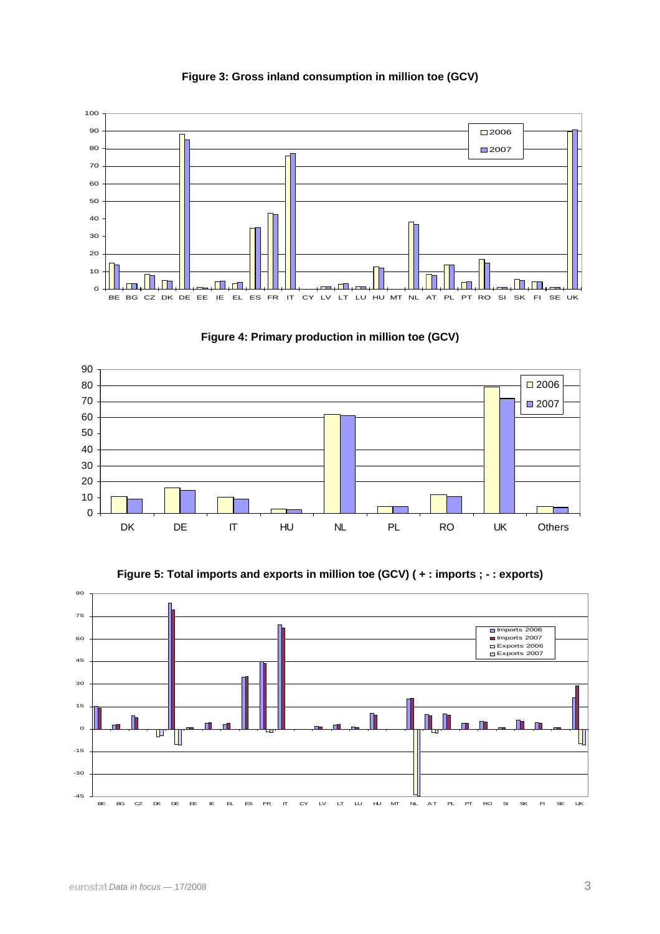

**Figure 3: Gross inland consumption in million toe (GCV)** 





**Figure 5: Total imports and exports in million toe (GCV) ( + : imports ; - : exports)**